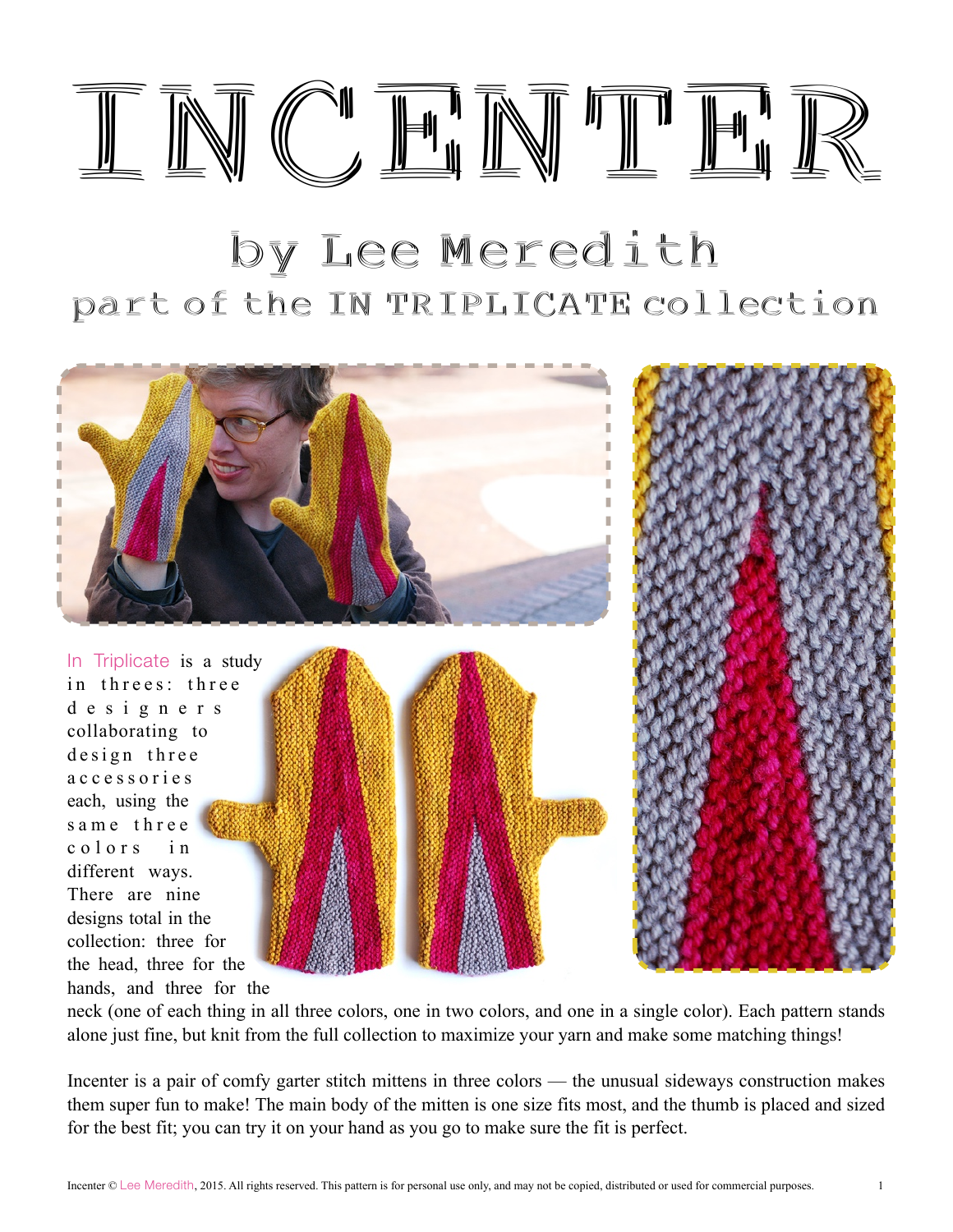

# by Lee Meredith part of the IN TRIPLICATE collection



In Triplicate is a study in threes: three d e s i g n e r s collaborating to design three a c c e s s o r i e s each, using the same three colors in different ways. There are nine designs total in the collection: three for the head, three for the hands, and three for the



neck (one of each thing in all three colors, one in two colors, and one in a single color). Each pattern stands alone just fine, but knit from the full collection to maximize your yarn and make some matching things!

Incenter is a pair of comfy garter stitch mittens in three colors — the unusual sideways construction makes them super fun to make! The main body of the mitten is one size fits most, and the thumb is placed and sized for the best fit; you can try it on your hand as you go to make sure the fit is perfect.